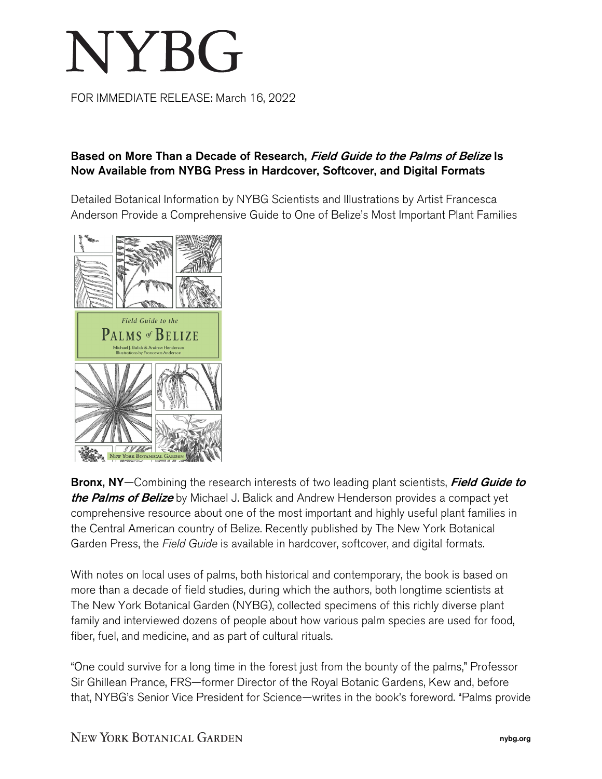## NYBG

FOR IMMEDIATE RELEASE: March 16, 2022

## Based on More Than a Decade of Research, Field Guide to the Palms of Belize Is Now Available from NYBG Press in Hardcover, Softcover, and Digital Formats

Detailed Botanical Information by NYBG Scientists and Illustrations by Artist Francesca Anderson Provide a Comprehensive Guide to One of Belize's Most Important Plant Families



Bronx, NY-Combining the research interests of two leading plant scientists, Field Guide to the Palms of Belize by Michael J. Balick and Andrew Henderson provides a compact yet comprehensive resource about one of the most important and highly useful plant families in the Central American country of Belize. Recently published by The New York Botanical Garden Press, the *Field Guide* is available in hardcover, softcover, and digital formats.

With notes on local uses of palms, both historical and contemporary, the book is based on more than a decade of field studies, during which the authors, both longtime scientists at The New York Botanical Garden (NYBG), collected specimens of this richly diverse plant family and interviewed dozens of people about how various palm species are used for food, fiber, fuel, and medicine, and as part of cultural rituals.

"One could survive for a long time in the forest just from the bounty of the palms," Professor Sir Ghillean Prance, FRS—former Director of the Royal Botanic Gardens, Kew and, before that, NYBG's Senior Vice President for Science—writes in the book's foreword. "Palms provide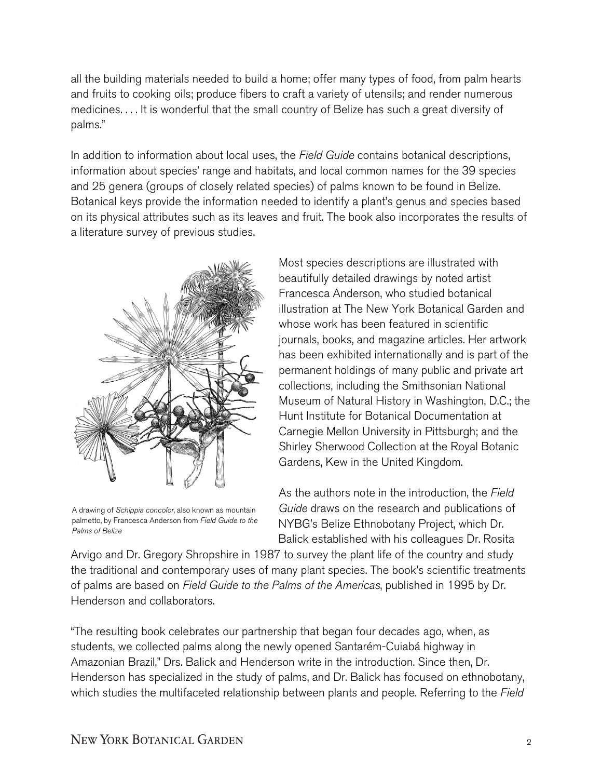all the building materials needed to build a home; offer many types of food, from palm hearts and fruits to cooking oils; produce fibers to craft a variety of utensils; and render numerous medicines. . . . It is wonderful that the small country of Belize has such a great diversity of palms."

In addition to information about local uses, the *Field Guide* contains botanical descriptions, information about species' range and habitats, and local common names for the 39 species and 25 genera (groups of closely related species) of palms known to be found in Belize. Botanical keys provide the information needed to identify a plant's genus and species based on its physical attributes such as its leaves and fruit. The book also incorporates the results of a literature survey of previous studies.



A drawing of *Schippia concolor*, also known as mountain palmetto, by Francesca Anderson from *Field Guide to the Palms of Belize*

Most species descriptions are illustrated with beautifully detailed drawings by noted artist Francesca Anderson, who studied botanical illustration at The New York Botanical Garden and whose work has been featured in scientific journals, books, and magazine articles. Her artwork has been exhibited internationally and is part of the permanent holdings of many public and private art collections, including the Smithsonian National Museum of Natural History in Washington, D.C.; the Hunt Institute for Botanical Documentation at Carnegie Mellon University in Pittsburgh; and the Shirley Sherwood Collection at the Royal Botanic Gardens, Kew in the United Kingdom.

As the authors note in the introduction, the *Field Guide* draws on the research and publications of NYBG's Belize Ethnobotany Project, which Dr. Balick established with his colleagues Dr. Rosita

Arvigo and Dr. Gregory Shropshire in 1987 to survey the plant life of the country and study the traditional and contemporary uses of many plant species. The book's scientific treatments of palms are based on *Field Guide to the Palms of the Americas*, published in 1995 by Dr. Henderson and collaborators.

"The resulting book celebrates our partnership that began four decades ago, when, as students, we collected palms along the newly opened Santarém-Cuiabá highway in Amazonian Brazil," Drs. Balick and Henderson write in the introduction. Since then, Dr. Henderson has specialized in the study of palms, and Dr. Balick has focused on ethnobotany, which studies the multifaceted relationship between plants and people. Referring to the *Field*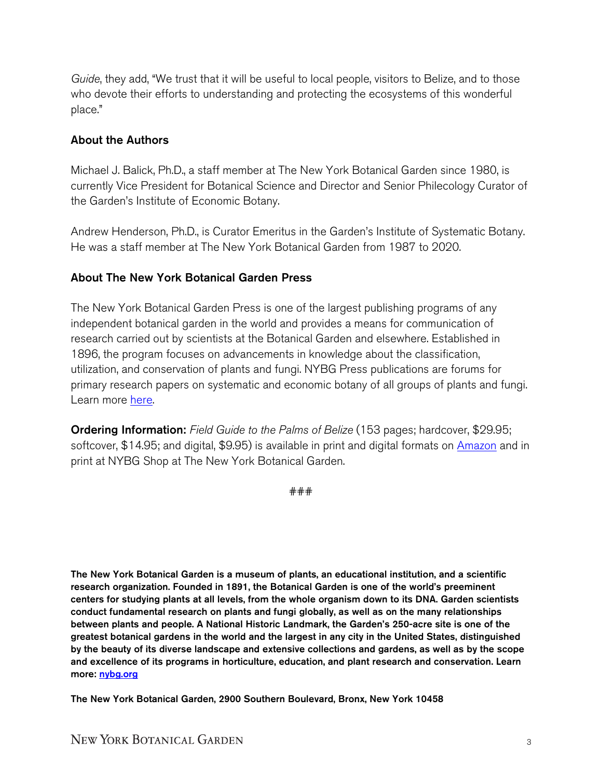*Guide*, they add, "We trust that it will be useful to local people, visitors to Belize, and to those who devote their efforts to understanding and protecting the ecosystems of this wonderful place."

## About the Authors

Michael J. Balick, Ph.D., a staff member at The New York Botanical Garden since 1980, is currently Vice President for Botanical Science and Director and Senior Philecology Curator of the Garden's Institute of Economic Botany.

Andrew Henderson, Ph.D., is Curator Emeritus in the Garden's Institute of Systematic Botany. He was a staff member at The New York Botanical Garden from 1987 to 2020.

## About The New York Botanical Garden Press

The New York Botanical Garden Press is one of the largest publishing programs of any independent botanical garden in the world and provides a means for communication of research carried out by scientists at the Botanical Garden and elsewhere. Established in 1896, the program focuses on advancements in knowledge about the classification, utilization, and conservation of plants and fungi. NYBG Press publications are forums for primary research papers on systematic and economic botany of all groups of plants and fungi. Learn more [here.](https://www.nybg.org/plant-research-and-conservation/collections-resources/nybg-press/)

Ordering Information: *Field Guide to the Palms of Belize* (153 pages; hardcover, \$29.95; softcover, \$14.95; and digital, \$9.95) is available in print and digital formats on [Amazon](https://www.amazon.com/Field-Guide-Belize-Michael-Balick/dp/B09QP6QV3D/ref=sr_1_1?crid=V1U0ZZ20XGO8&keywords=field+guide+to+the+palms+of+belize&qid=1646936677&sprefix=field+guide+to+the+palms+of+belize%2Caps%2C64&sr=8-1) and in print at NYBG Shop at The New York Botanical Garden.

###

The New York Botanical Garden is a museum of plants, an educational institution, and a scientific research organization. Founded in 1891, the Botanical Garden is one of the world's preeminent centers for studying plants at all levels, from the whole organism down to its DNA. Garden scientists conduct fundamental research on plants and fungi globally, as well as on the many relationships between plants and people. A National Historic Landmark, the Garden's 250-acre site is one of the greatest botanical gardens in the world and the largest in any city in the United States, distinguished by the beauty of its diverse landscape and extensive collections and gardens, as well as by the scope and excellence of its programs in horticulture, education, and plant research and conservation. Learn more: [nybg.org](http://www.nybg.org/)

The New York Botanical Garden, 2900 Southern Boulevard, Bronx, New York 10458